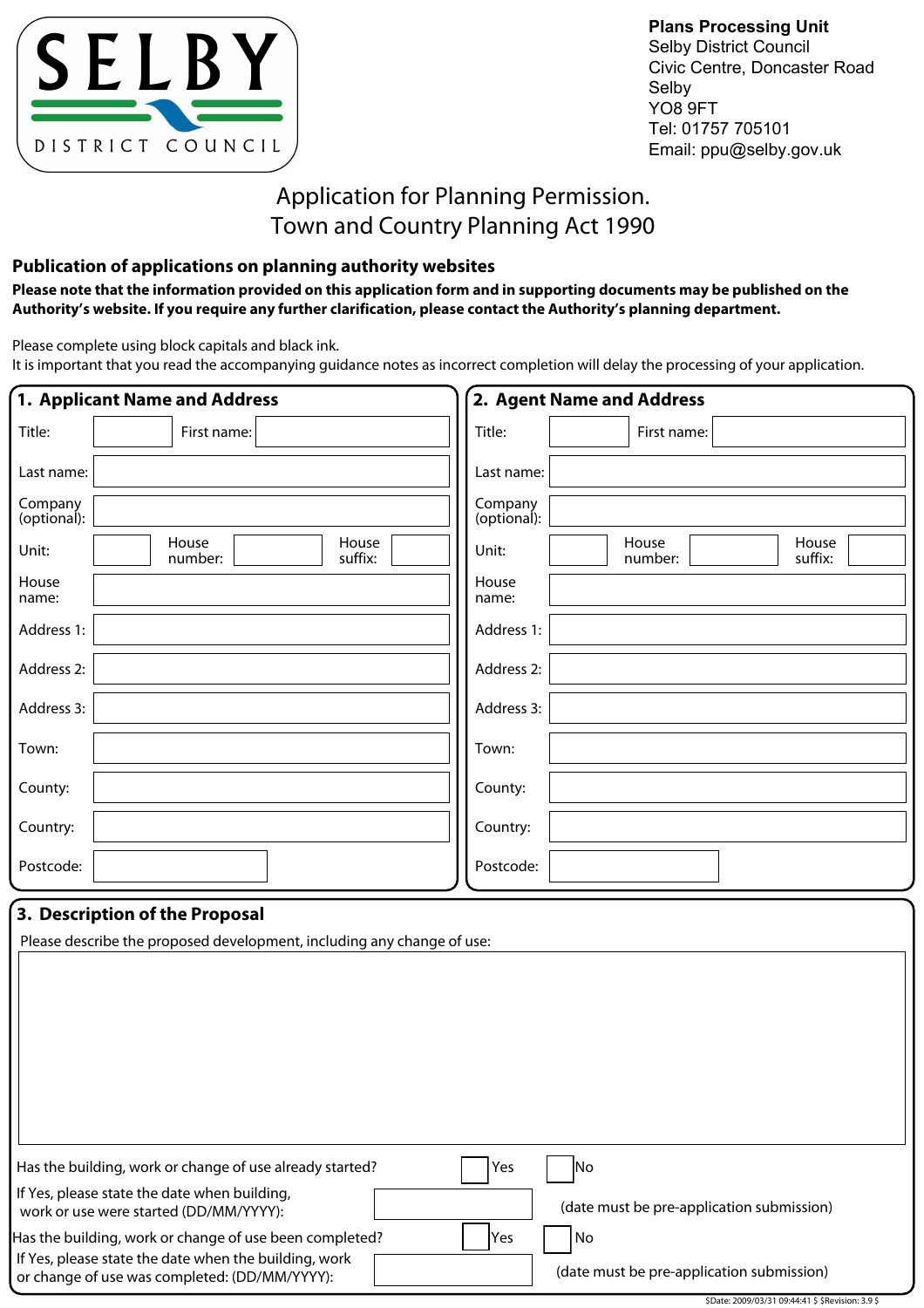

**Plans Processing Unit** Selby District Council Civic Centre, Doncaster Road Selby YO8 9FT Tel: 01757 705101 Email: ppu@selby.gov.uk

# Application for Planning Permission. Town and Country Planning Act 1990

### **Publication of applications on planning authority websites**

**Please note that the information provided on this application form and in supporting documents may be published on the Authority's website. If you require any further clarification, please contact the Authority's planning department.**

Please complete using block capitals and black ink.

It is important that you read the accompanying guidance notes as incorrect completion will delay the processing of your application.

|                        | 1. Applicant Name and Address                                                                                                                                     |                        | 2. Agent Name and Address                       |  |  |  |  |
|------------------------|-------------------------------------------------------------------------------------------------------------------------------------------------------------------|------------------------|-------------------------------------------------|--|--|--|--|
| Title:                 | First name:                                                                                                                                                       | Title:                 | First name:                                     |  |  |  |  |
| Last name:             |                                                                                                                                                                   | Last name:             |                                                 |  |  |  |  |
| Company<br>(optional): |                                                                                                                                                                   | Company<br>(optional): |                                                 |  |  |  |  |
| Unit:                  | House<br>House<br>suffix:<br>number:                                                                                                                              | Unit:                  | House<br>House<br>suffix:<br>number:            |  |  |  |  |
| House<br>name:         |                                                                                                                                                                   | House<br>name:         |                                                 |  |  |  |  |
| Address 1:             |                                                                                                                                                                   | Address 1:             |                                                 |  |  |  |  |
| Address 2:             |                                                                                                                                                                   | Address 2:             |                                                 |  |  |  |  |
| Address 3:             |                                                                                                                                                                   | Address 3:             |                                                 |  |  |  |  |
| Town:                  |                                                                                                                                                                   | Town:                  |                                                 |  |  |  |  |
| County:                |                                                                                                                                                                   | County:                |                                                 |  |  |  |  |
| Country:               |                                                                                                                                                                   | Country:               |                                                 |  |  |  |  |
| Postcode:              |                                                                                                                                                                   | Postcode:              |                                                 |  |  |  |  |
|                        | 3. Description of the Proposal<br>Please describe the proposed development, including any change of use:                                                          |                        |                                                 |  |  |  |  |
|                        | Has the building, work or change of use already started?                                                                                                          | Yes                    | N <sub>o</sub>                                  |  |  |  |  |
|                        | If Yes, please state the date when building,<br>work or use were started (DD/MM/YYYY):                                                                            |                        | (date must be pre-application submission)       |  |  |  |  |
|                        | Has the building, work or change of use been completed?<br>If Yes, please state the date when the building, work<br>or change of use was completed: (DD/MM/YYYY): | Yes                    | No<br>(date must be pre-application submission) |  |  |  |  |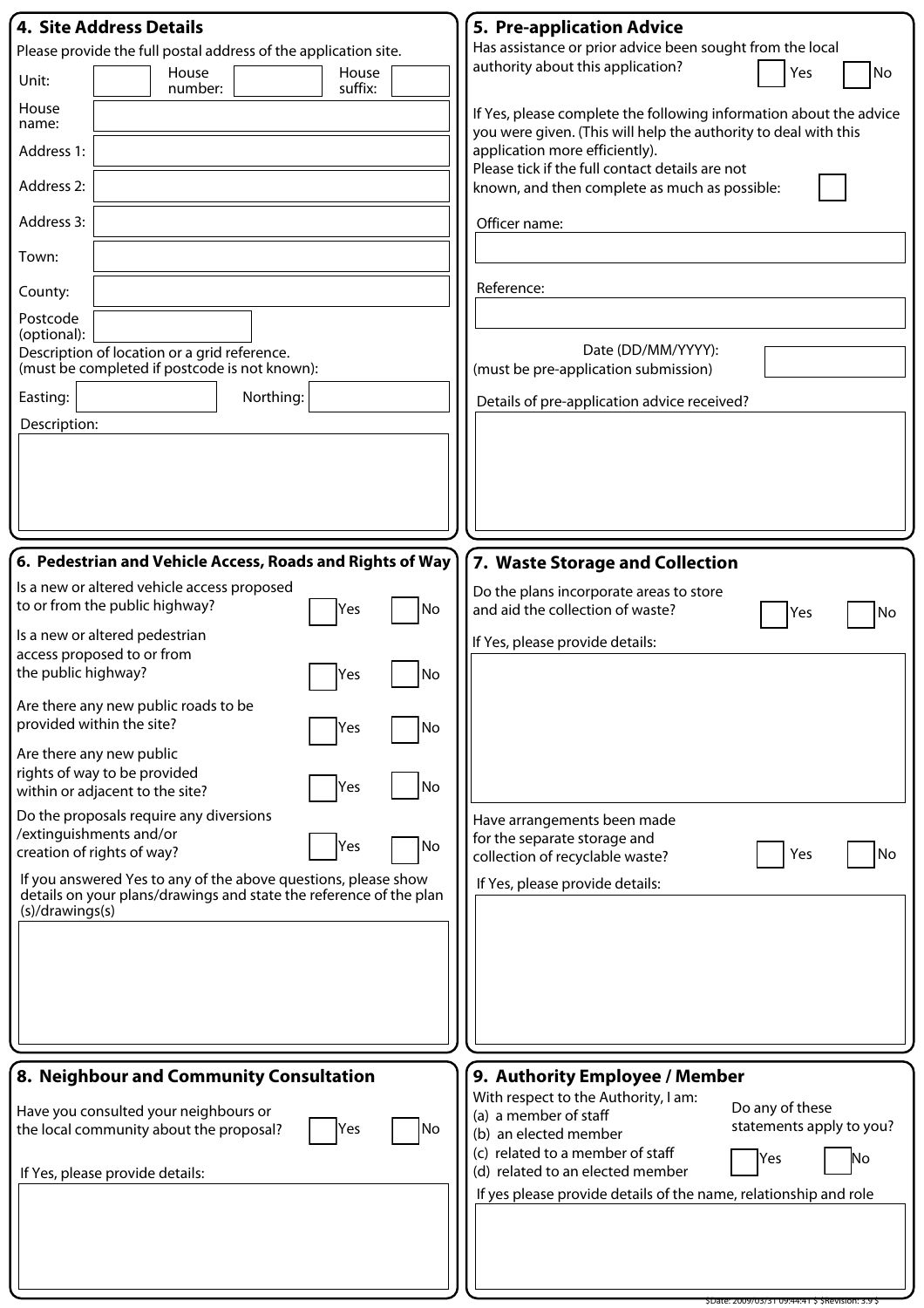| 4. Site Address Details                                                                                                              | 5. Pre-application Advice                                                                                                             |
|--------------------------------------------------------------------------------------------------------------------------------------|---------------------------------------------------------------------------------------------------------------------------------------|
| Please provide the full postal address of the application site.                                                                      | Has assistance or prior advice been sought from the local                                                                             |
| House<br>House<br>Unit:<br>suffix:<br>number:                                                                                        | authority about this application?<br>Yes<br>No                                                                                        |
| House<br>name:                                                                                                                       | If Yes, please complete the following information about the advice<br>you were given. (This will help the authority to deal with this |
| Address 1:                                                                                                                           | application more efficiently).                                                                                                        |
| Address 2:                                                                                                                           | Please tick if the full contact details are not<br>known, and then complete as much as possible:                                      |
| Address 3:                                                                                                                           | Officer name:                                                                                                                         |
| Town:                                                                                                                                |                                                                                                                                       |
| County:                                                                                                                              | Reference:                                                                                                                            |
| Postcode<br>(optional):                                                                                                              |                                                                                                                                       |
| Description of location or a grid reference.<br>(must be completed if postcode is not known):                                        | Date (DD/MM/YYYY):<br>(must be pre-application submission)                                                                            |
| Northing:<br>Easting:                                                                                                                | Details of pre-application advice received?                                                                                           |
| Description:                                                                                                                         |                                                                                                                                       |
|                                                                                                                                      |                                                                                                                                       |
|                                                                                                                                      |                                                                                                                                       |
|                                                                                                                                      |                                                                                                                                       |
| 6. Pedestrian and Vehicle Access, Roads and Rights of Way                                                                            | 7. Waste Storage and Collection                                                                                                       |
| Is a new or altered vehicle access proposed                                                                                          | Do the plans incorporate areas to store                                                                                               |
| to or from the public highway?<br>No<br>Yes                                                                                          | and aid the collection of waste?<br>No<br>Yes                                                                                         |
| Is a new or altered pedestrian<br>access proposed to or from                                                                         | If Yes, please provide details:                                                                                                       |
| the public highway?<br> No<br>Yes                                                                                                    |                                                                                                                                       |
| Are there any new public roads to be<br>provided within the site?<br>No<br>Yes                                                       |                                                                                                                                       |
| Are there any new public                                                                                                             |                                                                                                                                       |
| rights of way to be provided<br>No]<br>Yes<br>within or adjacent to the site?                                                        |                                                                                                                                       |
| Do the proposals require any diversions                                                                                              | Have arrangements been made                                                                                                           |
| /extinguishments and/or<br>No<br>Yes<br>creation of rights of way?                                                                   | for the separate storage and<br>Yes<br>No<br>collection of recyclable waste?                                                          |
| If you answered Yes to any of the above questions, please show<br>details on your plans/drawings and state the reference of the plan | If Yes, please provide details:                                                                                                       |
| (s)/drawings(s)                                                                                                                      |                                                                                                                                       |
|                                                                                                                                      |                                                                                                                                       |
|                                                                                                                                      |                                                                                                                                       |
|                                                                                                                                      |                                                                                                                                       |
|                                                                                                                                      |                                                                                                                                       |
| 8. Neighbour and Community Consultation                                                                                              | 9. Authority Employee / Member                                                                                                        |
|                                                                                                                                      | With respect to the Authority, I am:<br>Do any of these                                                                               |
| Have you consulted your neighbours or<br>No<br>the local community about the proposal?<br>Yes                                        | (a) a member of staff<br>statements apply to you?<br>(b) an elected member                                                            |
|                                                                                                                                      | (c) related to a member of staff<br>Yes<br>No<br>(d) related to an elected member                                                     |
| If Yes, please provide details:                                                                                                      | If yes please provide details of the name, relationship and role                                                                      |
|                                                                                                                                      |                                                                                                                                       |
|                                                                                                                                      |                                                                                                                                       |
|                                                                                                                                      |                                                                                                                                       |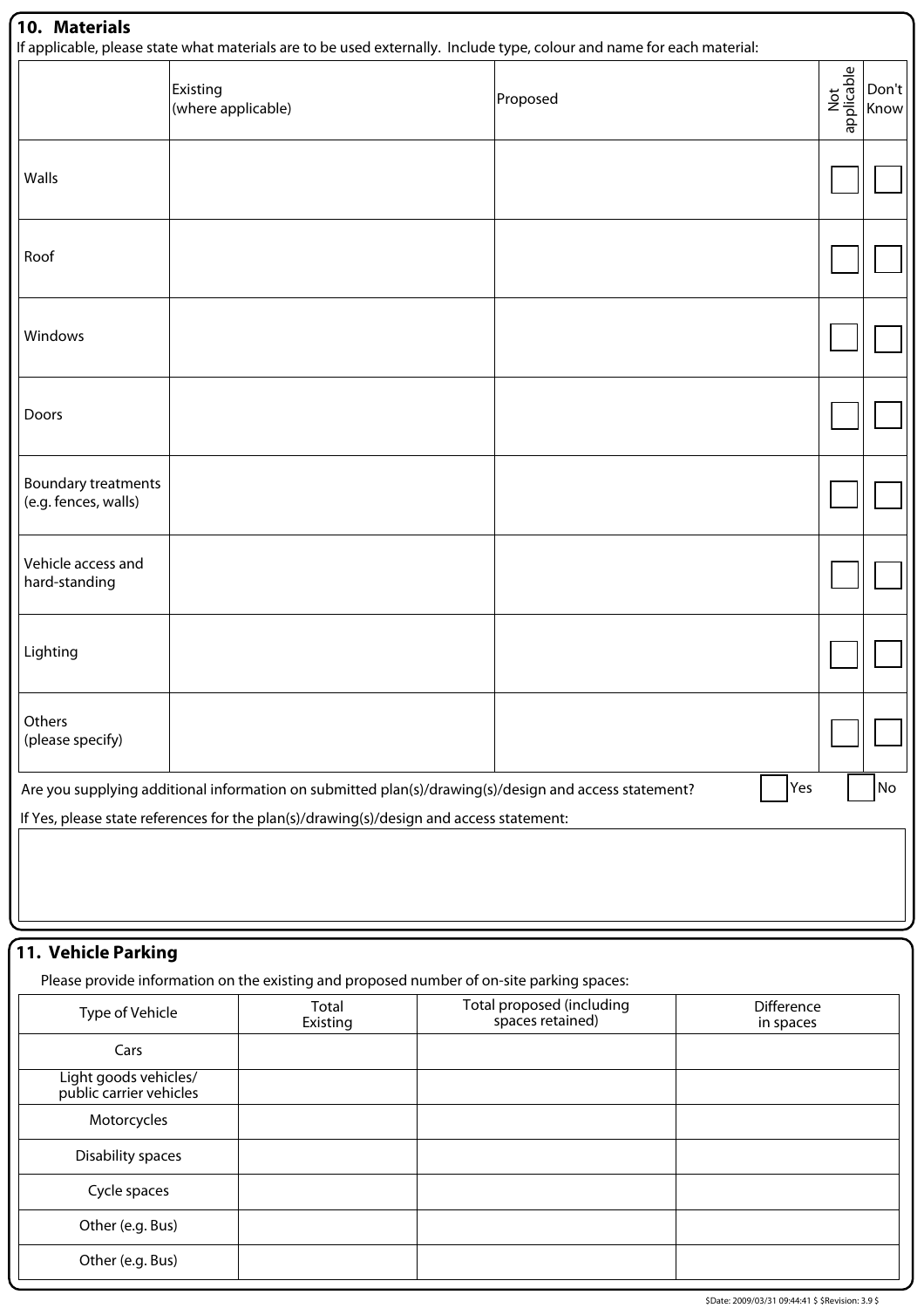|                                             | Existing<br>(where applicable)                                                                        | Proposed | Not<br>applicable | Don't<br>Know |
|---------------------------------------------|-------------------------------------------------------------------------------------------------------|----------|-------------------|---------------|
| Walls                                       |                                                                                                       |          |                   |               |
| Roof                                        |                                                                                                       |          |                   |               |
| Windows                                     |                                                                                                       |          |                   |               |
| Doors                                       |                                                                                                       |          |                   |               |
| Boundary treatments<br>(e.g. fences, walls) |                                                                                                       |          |                   |               |
| Vehicle access and<br>hard-standing         |                                                                                                       |          |                   |               |
| Lighting                                    |                                                                                                       |          |                   |               |
| Others<br>(please specify)                  |                                                                                                       |          |                   |               |
|                                             | Are you supplying additional information on submitted plan(s)/drawing(s)/design and access statement? | Yes      |                   | <b>No</b>     |
|                                             | If Yes, please state references for the plan(s)/drawing(s)/design and access statement:               |          |                   |               |

# **11. Vehicle Parking**

Please provide information on the existing and proposed number of on-site parking spaces:

| Type of Vehicle                                  | Total<br>Existing | Total proposed (including<br>spaces retained) | Difference<br>in spaces |
|--------------------------------------------------|-------------------|-----------------------------------------------|-------------------------|
| Cars                                             |                   |                                               |                         |
| Light goods vehicles/<br>public carrier vehicles |                   |                                               |                         |
| Motorcycles                                      |                   |                                               |                         |
| Disability spaces                                |                   |                                               |                         |
| Cycle spaces                                     |                   |                                               |                         |
| Other (e.g. Bus)                                 |                   |                                               |                         |
| Other (e.g. Bus)                                 |                   |                                               |                         |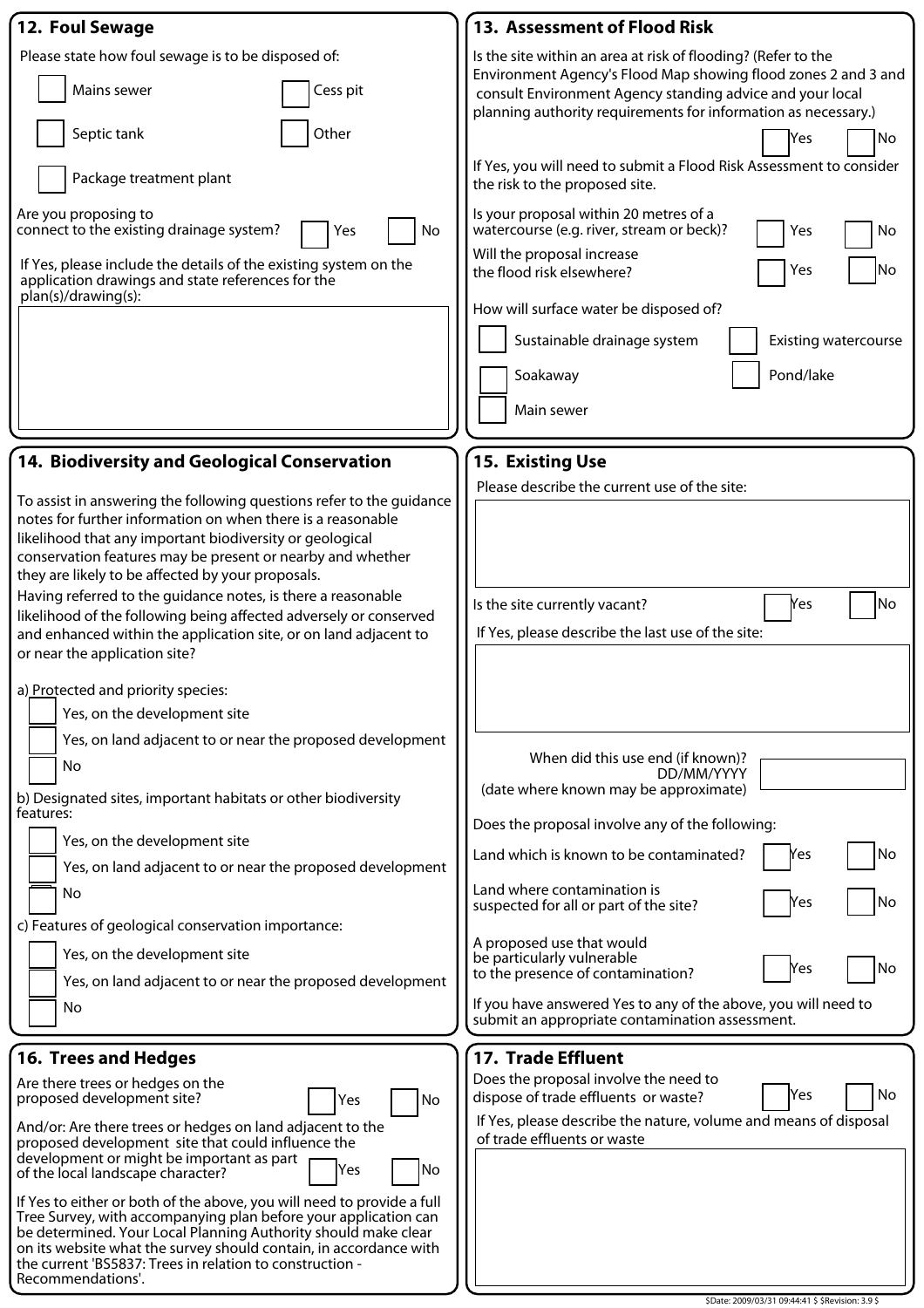| 12. Foul Sewage                                                                                                                                                                                                                                                                                                                                                                                                                                                                                                                                                                                                                                                                                                                                                                                                                                                                                                                              | 13. Assessment of Flood Risk                                                                                                                                                                                                                                                                                                                                                                                                                 |
|----------------------------------------------------------------------------------------------------------------------------------------------------------------------------------------------------------------------------------------------------------------------------------------------------------------------------------------------------------------------------------------------------------------------------------------------------------------------------------------------------------------------------------------------------------------------------------------------------------------------------------------------------------------------------------------------------------------------------------------------------------------------------------------------------------------------------------------------------------------------------------------------------------------------------------------------|----------------------------------------------------------------------------------------------------------------------------------------------------------------------------------------------------------------------------------------------------------------------------------------------------------------------------------------------------------------------------------------------------------------------------------------------|
| Please state how foul sewage is to be disposed of:<br>Mains sewer<br>Cess pit<br>Other                                                                                                                                                                                                                                                                                                                                                                                                                                                                                                                                                                                                                                                                                                                                                                                                                                                       | Is the site within an area at risk of flooding? (Refer to the<br>Environment Agency's Flood Map showing flood zones 2 and 3 and<br>consult Environment Agency standing advice and your local<br>planning authority requirements for information as necessary.)                                                                                                                                                                               |
| Septic tank<br>Package treatment plant                                                                                                                                                                                                                                                                                                                                                                                                                                                                                                                                                                                                                                                                                                                                                                                                                                                                                                       | No<br>Yes<br>If Yes, you will need to submit a Flood Risk Assessment to consider<br>the risk to the proposed site.                                                                                                                                                                                                                                                                                                                           |
| Are you proposing to<br>connect to the existing drainage system?<br>No<br>Yes<br>If Yes, please include the details of the existing system on the<br>application drawings and state references for the<br>plan(s)/drawing(s):                                                                                                                                                                                                                                                                                                                                                                                                                                                                                                                                                                                                                                                                                                                | Is your proposal within 20 metres of a<br>watercourse (e.g. river, stream or beck)?<br>No<br>Yes<br>Will the proposal increase<br> No<br>Yes<br>the flood risk elsewhere?<br>How will surface water be disposed of?<br>Sustainable drainage system<br><b>Existing watercourse</b><br>Pond/lake<br>Soakaway<br>Main sewer                                                                                                                     |
| 14. Biodiversity and Geological Conservation                                                                                                                                                                                                                                                                                                                                                                                                                                                                                                                                                                                                                                                                                                                                                                                                                                                                                                 | 15. Existing Use                                                                                                                                                                                                                                                                                                                                                                                                                             |
| To assist in answering the following questions refer to the guidance<br>notes for further information on when there is a reasonable<br>likelihood that any important biodiversity or geological<br>conservation features may be present or nearby and whether<br>they are likely to be affected by your proposals.<br>Having referred to the guidance notes, is there a reasonable<br>likelihood of the following being affected adversely or conserved<br>and enhanced within the application site, or on land adjacent to<br>or near the application site?<br>a) Protected and priority species:<br>Yes, on the development site<br>Yes, on land adjacent to or near the proposed development<br>No<br>b) Designated sites, important habitats or other biodiversity<br>features:<br>Yes, on the development site<br>Yes, on land adjacent to or near the proposed development<br>No<br>c) Features of geological conservation importance: | Please describe the current use of the site:<br>No<br>Is the site currently vacant?<br>Yes<br>If Yes, please describe the last use of the site:<br>When did this use end (if known)?<br>DD/MM/YYYY<br>(date where known may be approximate)<br>Does the proposal involve any of the following:<br>No<br>Yes<br>Land which is known to be contaminated?<br>Land where contamination is<br>No<br>Yes<br>suspected for all or part of the site? |
| Yes, on the development site<br>Yes, on land adjacent to or near the proposed development                                                                                                                                                                                                                                                                                                                                                                                                                                                                                                                                                                                                                                                                                                                                                                                                                                                    | A proposed use that would<br>be particularly vulnerable<br>No<br>Yes<br>to the presence of contamination?                                                                                                                                                                                                                                                                                                                                    |
| No                                                                                                                                                                                                                                                                                                                                                                                                                                                                                                                                                                                                                                                                                                                                                                                                                                                                                                                                           | If you have answered Yes to any of the above, you will need to<br>submit an appropriate contamination assessment.                                                                                                                                                                                                                                                                                                                            |
| <b>16. Trees and Hedges</b>                                                                                                                                                                                                                                                                                                                                                                                                                                                                                                                                                                                                                                                                                                                                                                                                                                                                                                                  | 17. Trade Effluent                                                                                                                                                                                                                                                                                                                                                                                                                           |
| Are there trees or hedges on the<br>proposed development site?<br>No<br>Yes<br>And/or: Are there trees or hedges on land adjacent to the<br>proposed development site that could influence the<br>development or might be important as part<br>Yes<br>No<br>of the local landscape character?<br>If Yes to either or both of the above, you will need to provide a full<br>Tree Survey, with accompanying plan before your application can<br>be determined. Your Local Planning Authority should make clear<br>on its website what the survey should contain, in accordance with<br>the current 'BS5837: Trees in relation to construction -<br>Recommendations'.                                                                                                                                                                                                                                                                           | Does the proposal involve the need to<br>No<br>Yes<br>dispose of trade effluents or waste?<br>If Yes, please describe the nature, volume and means of disposal<br>of trade effluents or waste                                                                                                                                                                                                                                                |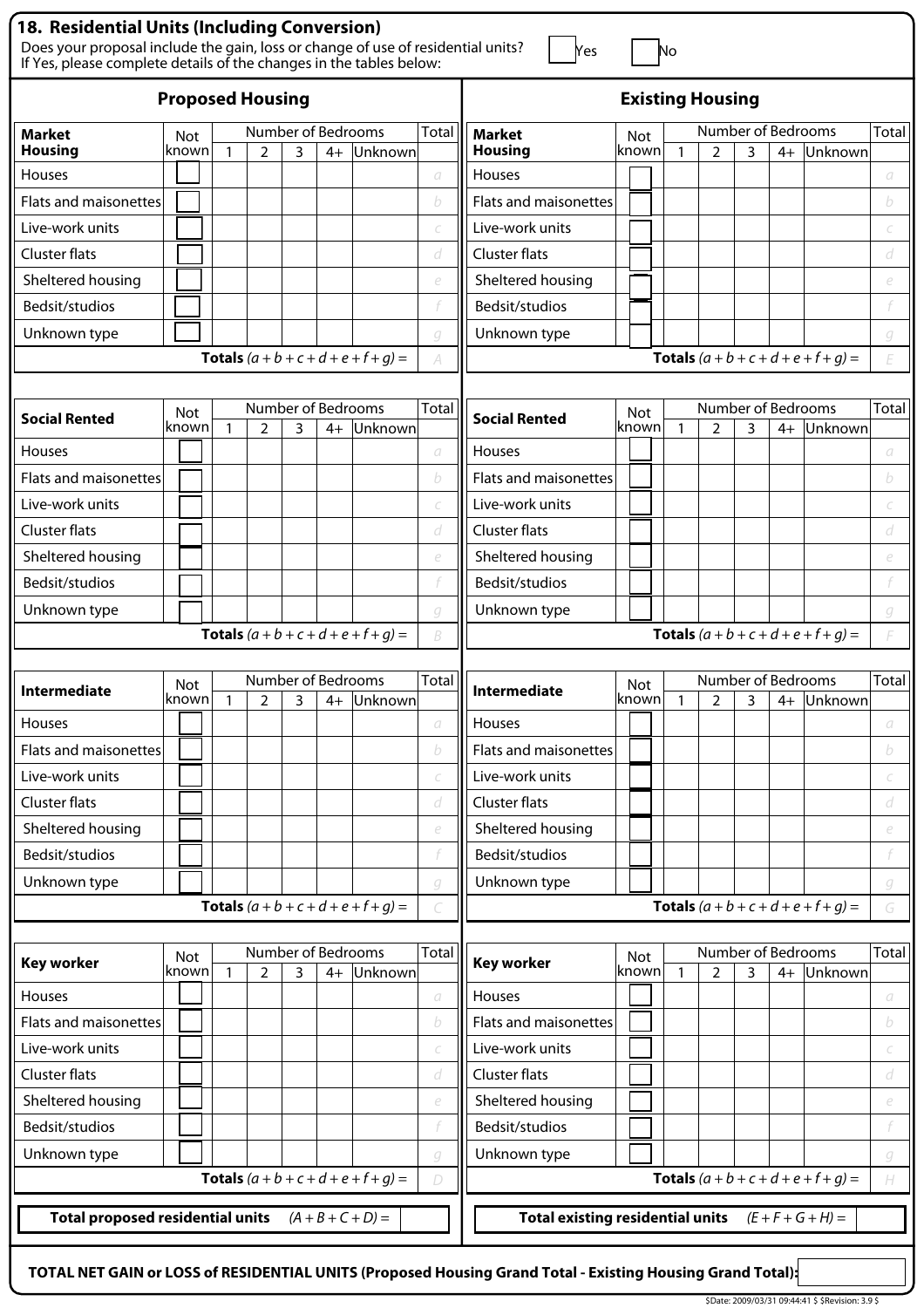| <b>18. Residential Units (Including Conversion)</b><br>Does your proposal include the gain, loss or change of use of residential units?<br>If Yes, please complete details of the changes in the tables below: |                                                                                                                                  |  |              |   |                         |      |                                               |              | Yes                   |  |              | Νo           |                |   |                    |                                               |       |
|----------------------------------------------------------------------------------------------------------------------------------------------------------------------------------------------------------------|----------------------------------------------------------------------------------------------------------------------------------|--|--------------|---|-------------------------|------|-----------------------------------------------|--------------|-----------------------|--|--------------|--------------|----------------|---|--------------------|-----------------------------------------------|-------|
| <b>Proposed Housing</b>                                                                                                                                                                                        |                                                                                                                                  |  |              |   | <b>Existing Housing</b> |      |                                               |              |                       |  |              |              |                |   |                    |                                               |       |
| <b>Market</b>                                                                                                                                                                                                  | <b>Not</b>                                                                                                                       |  |              |   | Number of Bedrooms      |      |                                               | <b>Total</b> | <b>Market</b>         |  | Not          |              |                |   | Number of Bedrooms |                                               | Total |
| <b>Housing</b>                                                                                                                                                                                                 | known                                                                                                                            |  | $\mathbf{1}$ | 2 | 3                       | $4+$ | Unknown                                       |              | <b>Housing</b>        |  | known        | $\mathbf{1}$ | $\overline{2}$ | 3 | $4+$               | Unknown                                       |       |
| Houses                                                                                                                                                                                                         |                                                                                                                                  |  |              |   |                         |      |                                               | a            | Houses                |  |              |              |                |   |                    |                                               | a     |
| <b>Flats and maisonettes</b>                                                                                                                                                                                   |                                                                                                                                  |  |              |   |                         |      |                                               | b            | Flats and maisonettes |  |              |              |                |   |                    |                                               | b     |
| Live-work units                                                                                                                                                                                                |                                                                                                                                  |  |              |   |                         |      |                                               |              | Live-work units       |  |              |              |                |   |                    |                                               |       |
| <b>Cluster flats</b>                                                                                                                                                                                           |                                                                                                                                  |  |              |   |                         |      |                                               | d            | <b>Cluster flats</b>  |  |              |              |                |   |                    |                                               | d     |
| Sheltered housing                                                                                                                                                                                              |                                                                                                                                  |  |              |   |                         |      |                                               | e            | Sheltered housing     |  |              |              |                |   |                    |                                               | e     |
| Bedsit/studios                                                                                                                                                                                                 |                                                                                                                                  |  |              |   |                         |      |                                               |              | Bedsit/studios        |  |              |              |                |   |                    |                                               |       |
| Unknown type                                                                                                                                                                                                   |                                                                                                                                  |  |              |   |                         |      |                                               | g            | Unknown type          |  |              |              |                |   |                    |                                               | g     |
|                                                                                                                                                                                                                |                                                                                                                                  |  |              |   |                         |      | <b>Totals</b> $(a + b + c + d + e + f + g) =$ | A            |                       |  |              |              |                |   |                    | <b>Totals</b> $(a + b + c + d + e + f + g) =$ | F     |
|                                                                                                                                                                                                                |                                                                                                                                  |  |              |   |                         |      |                                               |              |                       |  |              |              |                |   |                    |                                               |       |
| <b>Social Rented</b>                                                                                                                                                                                           | <b>Not</b>                                                                                                                       |  |              |   | Number of Bedrooms      |      |                                               | <b>Total</b> | <b>Social Rented</b>  |  | Not          |              |                |   | Number of Bedrooms |                                               | Total |
|                                                                                                                                                                                                                | known                                                                                                                            |  |              | 2 | 3                       | $4+$ | Unknown                                       |              |                       |  | known        | $\mathbf{1}$ | $\overline{2}$ | 3 | $4+$               | Unknown                                       |       |
| <b>Houses</b>                                                                                                                                                                                                  |                                                                                                                                  |  |              |   |                         |      |                                               | а            | Houses                |  |              |              |                |   |                    |                                               | а     |
| <b>Flats and maisonettes</b>                                                                                                                                                                                   |                                                                                                                                  |  |              |   |                         |      |                                               | b            | Flats and maisonettes |  |              |              |                |   |                    |                                               | b     |
| Live-work units                                                                                                                                                                                                |                                                                                                                                  |  |              |   |                         |      |                                               |              | Live-work units       |  |              |              |                |   |                    |                                               |       |
| <b>Cluster flats</b>                                                                                                                                                                                           |                                                                                                                                  |  |              |   |                         |      |                                               | d            | Cluster flats         |  |              |              |                |   |                    |                                               | d     |
| Sheltered housing                                                                                                                                                                                              |                                                                                                                                  |  |              |   |                         |      |                                               | e            | Sheltered housing     |  |              |              |                |   |                    |                                               | e     |
| Bedsit/studios                                                                                                                                                                                                 |                                                                                                                                  |  |              |   |                         |      |                                               |              | Bedsit/studios        |  |              |              |                |   |                    |                                               |       |
| Unknown type                                                                                                                                                                                                   |                                                                                                                                  |  |              |   |                         |      |                                               | q            | Unknown type          |  |              |              |                |   |                    |                                               | g     |
|                                                                                                                                                                                                                |                                                                                                                                  |  |              |   |                         |      | <b>Totals</b> $(a + b + c + d + e + f + g) =$ | B            |                       |  |              |              |                |   |                    | <b>Totals</b> $(a + b + c + d + e + f + q) =$ |       |
|                                                                                                                                                                                                                |                                                                                                                                  |  |              |   |                         |      |                                               |              |                       |  |              |              |                |   |                    |                                               |       |
| <b>Intermediate</b>                                                                                                                                                                                            | <b>Not</b>                                                                                                                       |  |              |   | Number of Bedrooms      |      |                                               | Total        | <b>Intermediate</b>   |  | Not          |              |                |   | Number of Bedrooms |                                               | Total |
|                                                                                                                                                                                                                | known                                                                                                                            |  | -1           | っ | ٦                       |      | 4+ Unknown                                    |              |                       |  | knownl       | -1           | $\mathcal{D}$  | 3 |                    | 4+ Unknown                                    |       |
| <b>Houses</b>                                                                                                                                                                                                  |                                                                                                                                  |  |              |   |                         |      |                                               | a            | Houses                |  |              |              |                |   |                    |                                               | а     |
| <b>Flats and maisonettes</b>                                                                                                                                                                                   |                                                                                                                                  |  |              |   |                         |      |                                               | b            | Flats and maisonettes |  |              |              |                |   |                    |                                               | b     |
| Live-work units                                                                                                                                                                                                |                                                                                                                                  |  |              |   |                         |      |                                               |              | Live-work units       |  |              |              |                |   |                    |                                               |       |
| Cluster flats                                                                                                                                                                                                  |                                                                                                                                  |  |              |   |                         |      |                                               | d            | <b>Cluster flats</b>  |  |              |              |                |   |                    |                                               | d     |
| Sheltered housing                                                                                                                                                                                              |                                                                                                                                  |  |              |   |                         |      |                                               | e            | Sheltered housing     |  |              |              |                |   |                    |                                               | e     |
| Bedsit/studios                                                                                                                                                                                                 |                                                                                                                                  |  |              |   |                         |      |                                               |              | Bedsit/studios        |  |              |              |                |   |                    |                                               |       |
| Unknown type                                                                                                                                                                                                   |                                                                                                                                  |  |              |   |                         |      |                                               | g            | Unknown type          |  |              |              |                |   |                    |                                               | g     |
|                                                                                                                                                                                                                |                                                                                                                                  |  |              |   |                         |      | <b>Totals</b> $(a + b + c + d + e + f + g) =$ |              |                       |  |              |              |                |   |                    | <b>Totals</b> $(a + b + c + d + e + f + g) =$ | G     |
|                                                                                                                                                                                                                |                                                                                                                                  |  |              |   |                         |      |                                               |              |                       |  |              |              |                |   |                    |                                               |       |
| <b>Key worker</b>                                                                                                                                                                                              | Not<br>known                                                                                                                     |  | $\mathbf{1}$ |   | Number of Bedrooms<br>3 |      | Unknown                                       | <b>Total</b> | <b>Key worker</b>     |  | Not<br>known | $\mathbf{1}$ |                | 3 | Number of Bedrooms |                                               | Total |
| Houses                                                                                                                                                                                                         |                                                                                                                                  |  |              | 2 |                         | $4+$ |                                               | а            | Houses                |  |              |              | $\overline{2}$ |   | $4+$               | Unknown                                       | a     |
| <b>Flats and maisonettes</b>                                                                                                                                                                                   |                                                                                                                                  |  |              |   |                         |      |                                               | b            | Flats and maisonettes |  |              |              |                |   |                    |                                               | b     |
| Live-work units                                                                                                                                                                                                |                                                                                                                                  |  |              |   |                         |      |                                               | C            | Live-work units       |  |              |              |                |   |                    |                                               |       |
| Cluster flats                                                                                                                                                                                                  |                                                                                                                                  |  |              |   |                         |      |                                               | d            | <b>Cluster flats</b>  |  |              |              |                |   |                    |                                               | d     |
| Sheltered housing                                                                                                                                                                                              |                                                                                                                                  |  |              |   |                         |      |                                               | e            | Sheltered housing     |  |              |              |                |   |                    |                                               | e     |
| Bedsit/studios                                                                                                                                                                                                 |                                                                                                                                  |  |              |   |                         |      |                                               |              | Bedsit/studios        |  |              |              |                |   |                    |                                               |       |
| Unknown type                                                                                                                                                                                                   |                                                                                                                                  |  |              |   |                         |      |                                               | g            | Unknown type          |  |              |              |                |   |                    |                                               | g     |
|                                                                                                                                                                                                                |                                                                                                                                  |  |              |   |                         |      | <b>Totals</b> $(a + b + c + d + e + f + g) =$ | D            |                       |  |              |              |                |   |                    | <b>Totals</b> $(a + b + c + d + e + f + g) =$ | H     |
|                                                                                                                                                                                                                | <b>Total proposed residential units</b><br>$(A + B + C + D) =$<br><b>Total existing residential units</b><br>$(E + F + G + H) =$ |  |              |   |                         |      |                                               |              |                       |  |              |              |                |   |                    |                                               |       |
|                                                                                                                                                                                                                |                                                                                                                                  |  |              |   |                         |      |                                               |              |                       |  |              |              |                |   |                    |                                               |       |

**TOTAL NET GAIN or LOSS of RESIDENTIAL UNITS (Proposed Housing Grand Total - Existing Housing Grand Total):**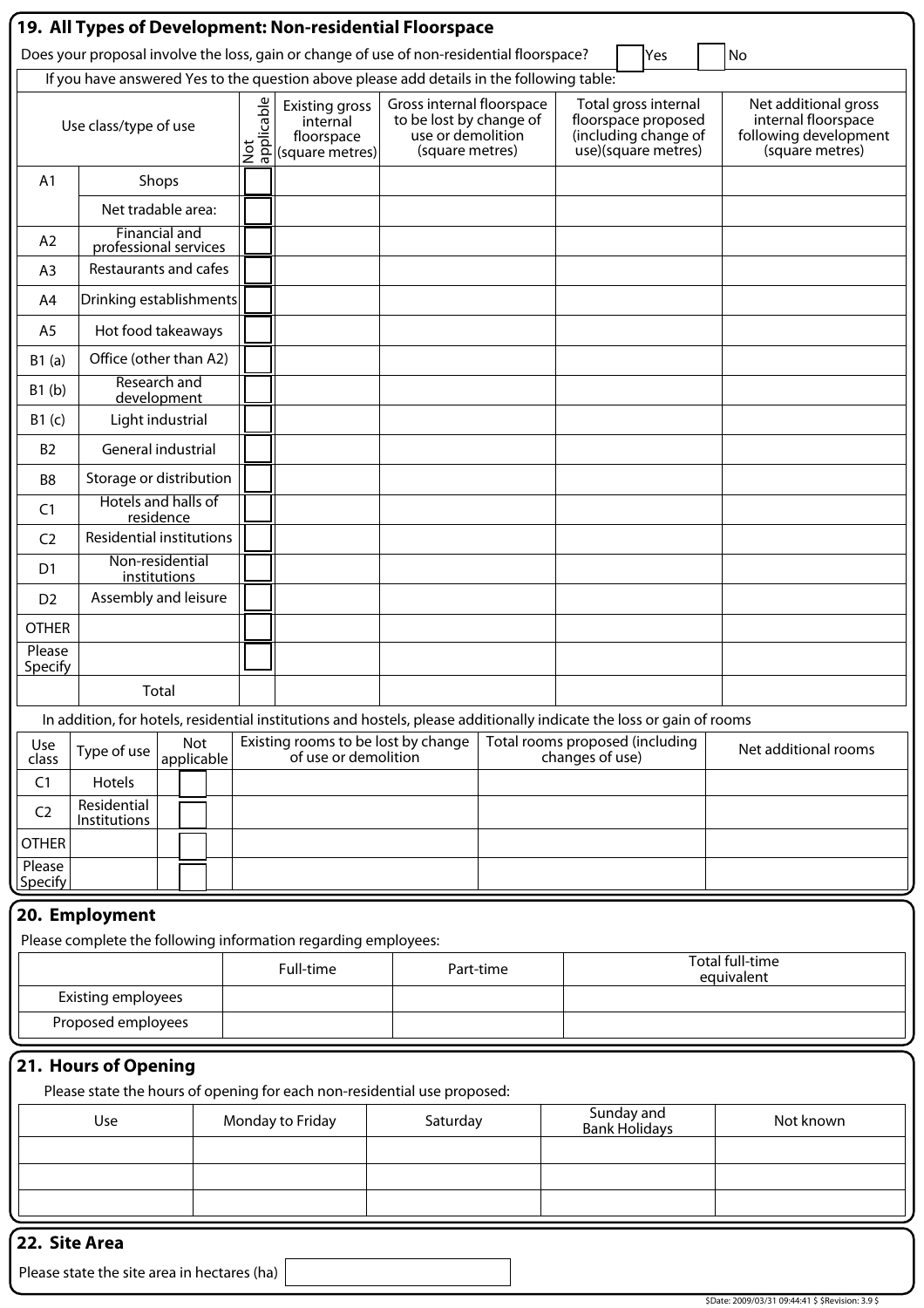| 19. All Types of Development: Non-residential Floorspace |                                                                                                         |              |     |  |                   |                                                                                                                       |                                                                                              |           |                 |                                                                                            |                                                                                         |
|----------------------------------------------------------|---------------------------------------------------------------------------------------------------------|--------------|-----|--|-------------------|-----------------------------------------------------------------------------------------------------------------------|----------------------------------------------------------------------------------------------|-----------|-----------------|--------------------------------------------------------------------------------------------|-----------------------------------------------------------------------------------------|
|                                                          | Does your proposal involve the loss, gain or change of use of non-residential floorspace?<br>No<br> Yes |              |     |  |                   |                                                                                                                       |                                                                                              |           |                 |                                                                                            |                                                                                         |
|                                                          | If you have answered Yes to the question above please add details in the following table:               |              |     |  |                   |                                                                                                                       |                                                                                              |           |                 |                                                                                            |                                                                                         |
|                                                          | Use class/type of use                                                                                   |              |     |  | applicable<br>Not | <b>Existing gross</b><br>internal<br>floorspace<br>(square metres)                                                    | Gross internal floorspace<br>to be lost by change of<br>use or demolition<br>(square metres) |           |                 | Total gross internal<br>floorspace proposed<br>(including change of<br>use)(square metres) | Net additional gross<br>internal floorspace<br>following development<br>(square metres) |
| A <sub>1</sub>                                           |                                                                                                         | Shops        |     |  |                   |                                                                                                                       |                                                                                              |           |                 |                                                                                            |                                                                                         |
|                                                          | Net tradable area:                                                                                      |              |     |  |                   |                                                                                                                       |                                                                                              |           |                 |                                                                                            |                                                                                         |
| A2                                                       | <b>Financial and</b><br>professional services                                                           |              |     |  |                   |                                                                                                                       |                                                                                              |           |                 |                                                                                            |                                                                                         |
| A <sub>3</sub>                                           | Restaurants and cafes                                                                                   |              |     |  |                   |                                                                                                                       |                                                                                              |           |                 |                                                                                            |                                                                                         |
| A4                                                       | Drinking establishments                                                                                 |              |     |  |                   |                                                                                                                       |                                                                                              |           |                 |                                                                                            |                                                                                         |
| A <sub>5</sub>                                           | Hot food takeaways                                                                                      |              |     |  |                   |                                                                                                                       |                                                                                              |           |                 |                                                                                            |                                                                                         |
| B1(a)                                                    | Office (other than A2)                                                                                  |              |     |  |                   |                                                                                                                       |                                                                                              |           |                 |                                                                                            |                                                                                         |
| B1(b)                                                    | Research and<br>development                                                                             |              |     |  |                   |                                                                                                                       |                                                                                              |           |                 |                                                                                            |                                                                                         |
| B1(c)                                                    | Light industrial                                                                                        |              |     |  |                   |                                                                                                                       |                                                                                              |           |                 |                                                                                            |                                                                                         |
| <b>B2</b>                                                | General industrial                                                                                      |              |     |  |                   |                                                                                                                       |                                                                                              |           |                 |                                                                                            |                                                                                         |
| B <sub>8</sub>                                           | Storage or distribution                                                                                 |              |     |  |                   |                                                                                                                       |                                                                                              |           |                 |                                                                                            |                                                                                         |
| C <sub>1</sub>                                           | Hotels and halls of                                                                                     | residence    |     |  |                   |                                                                                                                       |                                                                                              |           |                 |                                                                                            |                                                                                         |
| C <sub>2</sub>                                           | <b>Residential institutions</b>                                                                         |              |     |  |                   |                                                                                                                       |                                                                                              |           |                 |                                                                                            |                                                                                         |
| D <sub>1</sub>                                           | Non-residential                                                                                         | institutions |     |  |                   |                                                                                                                       |                                                                                              |           |                 |                                                                                            |                                                                                         |
| D <sub>2</sub>                                           | Assembly and leisure                                                                                    |              |     |  |                   |                                                                                                                       |                                                                                              |           |                 |                                                                                            |                                                                                         |
| <b>OTHER</b>                                             |                                                                                                         |              |     |  |                   |                                                                                                                       |                                                                                              |           |                 |                                                                                            |                                                                                         |
| Please<br>Specify                                        |                                                                                                         |              |     |  |                   |                                                                                                                       |                                                                                              |           |                 |                                                                                            |                                                                                         |
|                                                          |                                                                                                         | Total        |     |  |                   |                                                                                                                       |                                                                                              |           |                 |                                                                                            |                                                                                         |
|                                                          |                                                                                                         |              |     |  |                   | In addition, for hotels, residential institutions and hostels, please additionally indicate the loss or gain of rooms |                                                                                              |           |                 |                                                                                            |                                                                                         |
| Use<br>class                                             | Type of use                                                                                             | applicable   | Not |  |                   | Existing rooms to be lost by change<br>of use or demolition                                                           |                                                                                              |           | changes of use) | Total rooms proposed (including                                                            | Net additional rooms                                                                    |
| C <sub>1</sub>                                           | Hotels                                                                                                  |              |     |  |                   |                                                                                                                       |                                                                                              |           |                 |                                                                                            |                                                                                         |
| C <sub>2</sub>                                           | Residential<br>Institutions                                                                             |              |     |  |                   |                                                                                                                       |                                                                                              |           |                 |                                                                                            |                                                                                         |
| <b>OTHER</b>                                             |                                                                                                         |              |     |  |                   |                                                                                                                       |                                                                                              |           |                 |                                                                                            |                                                                                         |
| Please<br>Specify                                        |                                                                                                         |              |     |  |                   |                                                                                                                       |                                                                                              |           |                 |                                                                                            |                                                                                         |
|                                                          | 20. Employment                                                                                          |              |     |  |                   |                                                                                                                       |                                                                                              |           |                 |                                                                                            |                                                                                         |
|                                                          |                                                                                                         |              |     |  |                   | Please complete the following information regarding employees:                                                        |                                                                                              |           |                 |                                                                                            |                                                                                         |
|                                                          |                                                                                                         |              |     |  |                   | Full-time                                                                                                             |                                                                                              | Part-time |                 |                                                                                            | Total full-time<br>equivalent                                                           |
|                                                          | <b>Existing employees</b>                                                                               |              |     |  |                   |                                                                                                                       |                                                                                              |           |                 |                                                                                            |                                                                                         |
|                                                          | Proposed employees                                                                                      |              |     |  |                   |                                                                                                                       |                                                                                              |           |                 |                                                                                            |                                                                                         |
|                                                          | 21. Hours of Opening                                                                                    |              |     |  |                   |                                                                                                                       |                                                                                              |           |                 |                                                                                            |                                                                                         |
|                                                          |                                                                                                         |              |     |  |                   | Please state the hours of opening for each non-residential use proposed:                                              |                                                                                              |           |                 |                                                                                            |                                                                                         |
|                                                          |                                                                                                         |              |     |  |                   |                                                                                                                       |                                                                                              |           |                 | Sunday and                                                                                 |                                                                                         |

| Use | Monday to Friday | Saturday | Sunday and<br>Bank Holidays | Not known |
|-----|------------------|----------|-----------------------------|-----------|
|     |                  |          |                             |           |
|     |                  |          |                             |           |
|     |                  |          |                             |           |

## **22. Site Area**

Please state the site area in hectares (ha)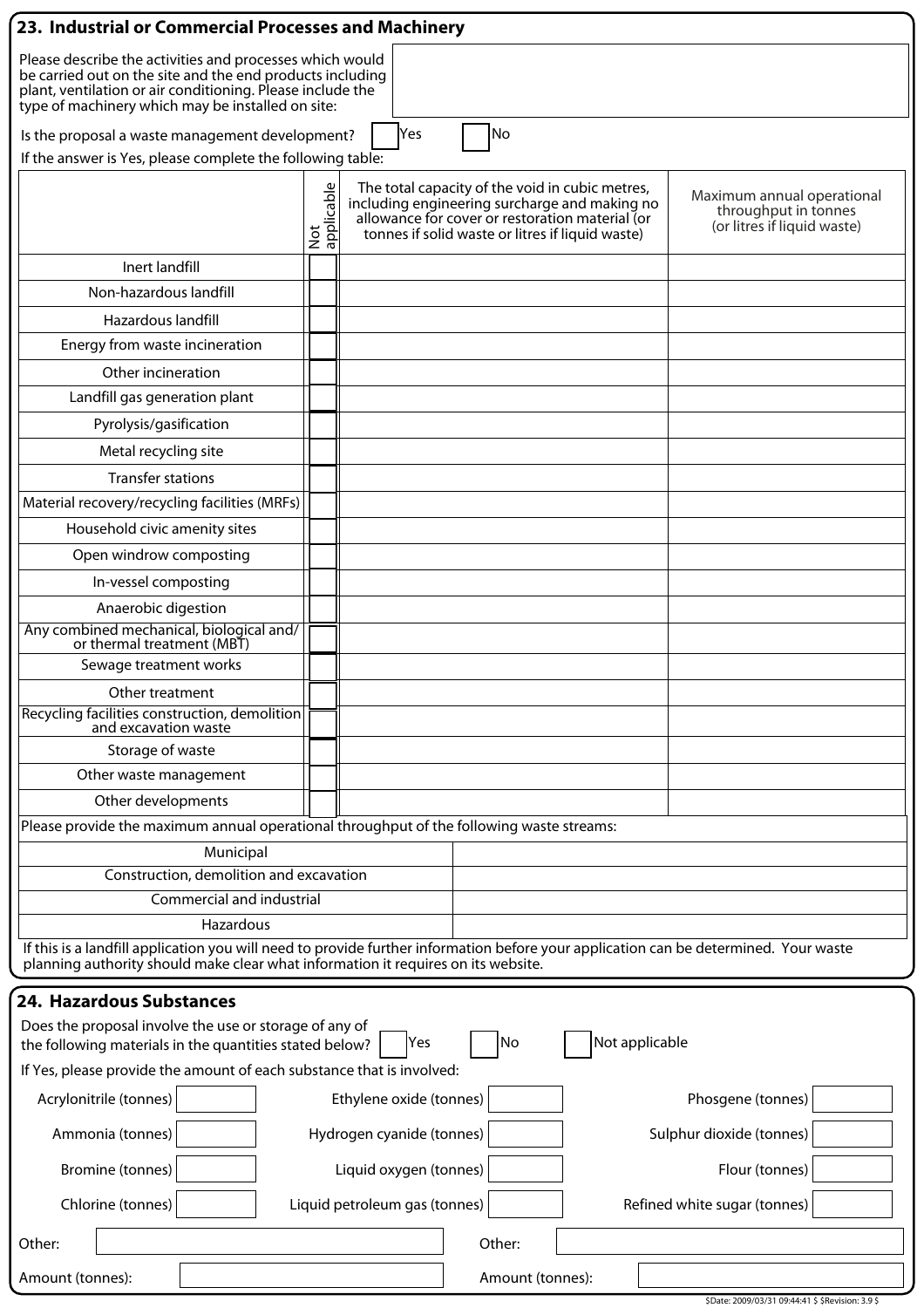| 23. Industrial or Commercial Processes and Machinery                                                                                                                                                                                     |                   |                                               |                                                                                                                                                        |                |                                                                                   |  |  |  |
|------------------------------------------------------------------------------------------------------------------------------------------------------------------------------------------------------------------------------------------|-------------------|-----------------------------------------------|--------------------------------------------------------------------------------------------------------------------------------------------------------|----------------|-----------------------------------------------------------------------------------|--|--|--|
| Please describe the activities and processes which would<br>be carried out on the site and the end products including<br>plant, ventilation or air conditioning. Please include the<br>type of machinery which may be installed on site: |                   |                                               |                                                                                                                                                        |                |                                                                                   |  |  |  |
| No<br>Is the proposal a waste management development?<br>Yes                                                                                                                                                                             |                   |                                               |                                                                                                                                                        |                |                                                                                   |  |  |  |
| If the answer is Yes, please complete the following table:                                                                                                                                                                               |                   |                                               |                                                                                                                                                        |                |                                                                                   |  |  |  |
|                                                                                                                                                                                                                                          | Not<br>applicable | including engineering surcharge and making no | The total capacity of the void in cubic metres,<br>allowance for cover or restoration material (or<br>tonnes if solid waste or litres if liquid waste) |                | Maximum annual operational<br>throughput in tonnes<br>(or litres if liquid waste) |  |  |  |
| Inert landfill                                                                                                                                                                                                                           |                   |                                               |                                                                                                                                                        |                |                                                                                   |  |  |  |
| Non-hazardous landfill                                                                                                                                                                                                                   |                   |                                               |                                                                                                                                                        |                |                                                                                   |  |  |  |
| <b>Hazardous landfill</b>                                                                                                                                                                                                                |                   |                                               |                                                                                                                                                        |                |                                                                                   |  |  |  |
| Energy from waste incineration                                                                                                                                                                                                           |                   |                                               |                                                                                                                                                        |                |                                                                                   |  |  |  |
| Other incineration                                                                                                                                                                                                                       |                   |                                               |                                                                                                                                                        |                |                                                                                   |  |  |  |
| Landfill gas generation plant                                                                                                                                                                                                            |                   |                                               |                                                                                                                                                        |                |                                                                                   |  |  |  |
| Pyrolysis/gasification                                                                                                                                                                                                                   |                   |                                               |                                                                                                                                                        |                |                                                                                   |  |  |  |
| Metal recycling site                                                                                                                                                                                                                     |                   |                                               |                                                                                                                                                        |                |                                                                                   |  |  |  |
| <b>Transfer stations</b>                                                                                                                                                                                                                 |                   |                                               |                                                                                                                                                        |                |                                                                                   |  |  |  |
| Material recovery/recycling facilities (MRFs)                                                                                                                                                                                            |                   |                                               |                                                                                                                                                        |                |                                                                                   |  |  |  |
| Household civic amenity sites                                                                                                                                                                                                            |                   |                                               |                                                                                                                                                        |                |                                                                                   |  |  |  |
| Open windrow composting                                                                                                                                                                                                                  |                   |                                               |                                                                                                                                                        |                |                                                                                   |  |  |  |
| In-vessel composting                                                                                                                                                                                                                     |                   |                                               |                                                                                                                                                        |                |                                                                                   |  |  |  |
| Anaerobic digestion                                                                                                                                                                                                                      |                   |                                               |                                                                                                                                                        |                |                                                                                   |  |  |  |
| Any combined mechanical, biological and/<br>or thermal treatment (MBT)                                                                                                                                                                   |                   |                                               |                                                                                                                                                        |                |                                                                                   |  |  |  |
| Sewage treatment works                                                                                                                                                                                                                   |                   |                                               |                                                                                                                                                        |                |                                                                                   |  |  |  |
| Other treatment<br>Recycling facilities construction, demolition<br>and excavation waste                                                                                                                                                 |                   |                                               |                                                                                                                                                        |                |                                                                                   |  |  |  |
| Storage of waste                                                                                                                                                                                                                         |                   |                                               |                                                                                                                                                        |                |                                                                                   |  |  |  |
| Other waste management                                                                                                                                                                                                                   |                   |                                               |                                                                                                                                                        |                |                                                                                   |  |  |  |
| Other developments                                                                                                                                                                                                                       |                   |                                               |                                                                                                                                                        |                |                                                                                   |  |  |  |
| Please provide the maximum annual operational throughput of the following waste streams:                                                                                                                                                 |                   |                                               |                                                                                                                                                        |                |                                                                                   |  |  |  |
| Municipal                                                                                                                                                                                                                                |                   |                                               |                                                                                                                                                        |                |                                                                                   |  |  |  |
| Construction, demolition and excavation                                                                                                                                                                                                  |                   |                                               |                                                                                                                                                        |                |                                                                                   |  |  |  |
| Commercial and industrial                                                                                                                                                                                                                |                   |                                               |                                                                                                                                                        |                |                                                                                   |  |  |  |
| Hazardous<br>If this is a landfill application you will need to provide further information before your application can be determined. Your waste<br>planning authority should make clear what information it requires on its website.   |                   |                                               |                                                                                                                                                        |                |                                                                                   |  |  |  |
| 24. Hazardous Substances                                                                                                                                                                                                                 |                   |                                               |                                                                                                                                                        |                |                                                                                   |  |  |  |
| Does the proposal involve the use or storage of any of<br>the following materials in the quantities stated below?                                                                                                                        |                   | Yes                                           | No                                                                                                                                                     | Not applicable |                                                                                   |  |  |  |
| If Yes, please provide the amount of each substance that is involved:                                                                                                                                                                    |                   |                                               |                                                                                                                                                        |                |                                                                                   |  |  |  |
| Acrylonitrile (tonnes)                                                                                                                                                                                                                   |                   | Ethylene oxide (tonnes)                       |                                                                                                                                                        |                | Phosgene (tonnes)                                                                 |  |  |  |
| Ammonia (tonnes)                                                                                                                                                                                                                         |                   | Hydrogen cyanide (tonnes)                     |                                                                                                                                                        |                | Sulphur dioxide (tonnes)                                                          |  |  |  |
| Bromine (tonnes)                                                                                                                                                                                                                         |                   | Liquid oxygen (tonnes)                        |                                                                                                                                                        |                | Flour (tonnes)                                                                    |  |  |  |
| Chlorine (tonnes)                                                                                                                                                                                                                        |                   | Liquid petroleum gas (tonnes)                 |                                                                                                                                                        |                | Refined white sugar (tonnes)                                                      |  |  |  |
| Other:                                                                                                                                                                                                                                   |                   |                                               | Other:                                                                                                                                                 |                |                                                                                   |  |  |  |
| Amount (tonnes):                                                                                                                                                                                                                         |                   |                                               | Amount (tonnes):                                                                                                                                       |                | \$Date: 2009/03/31 09:44:41 \$ \$Revision: 3.9 \$                                 |  |  |  |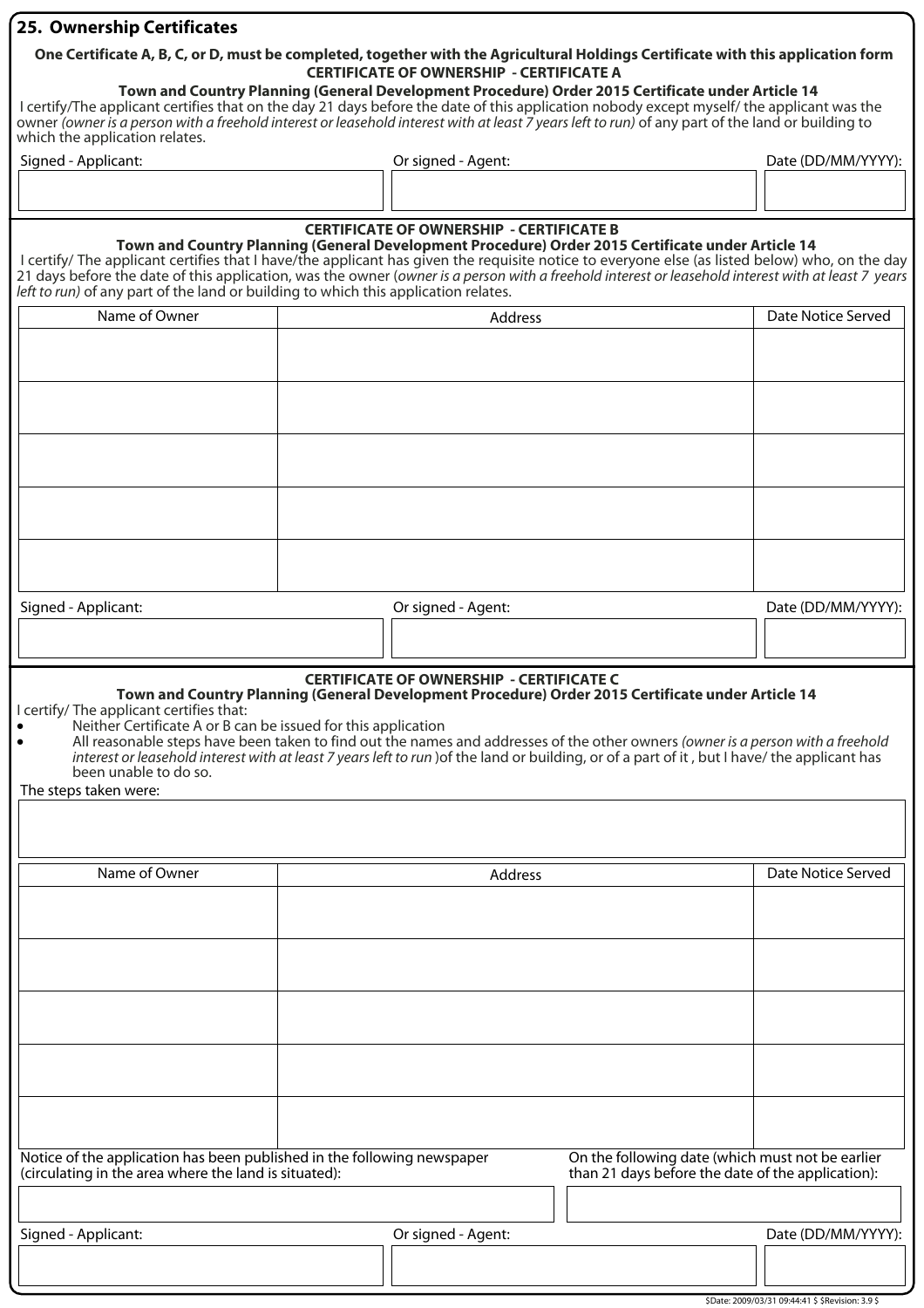#### **25. Ownership Certificates**

#### **One Certificate A, B, C, or D, must be completed, together with the Agricultural Holdings Certificate with this application form CERTIFICATE OF OWNERSHIP - CERTIFICATE A**

**Town and Country Planning (General Development Procedure) Order 2015 Certificate under Article 14** I certify/The applicant certifies that on the day 21 days before the date of this application nobody except myself/ the applicant was the owner (owner is a person with a freehold interest or leasehold interest with at least 7 years left to run) of any part of the land or building to which the application relates.

Signed - Applicant: The Community Community Community Community Community Community Community Community Community Community Community Community Community Community Community Community Community Community Community Communit

#### **CERTIFICATE OF OWNERSHIP - CERTIFICATE B**

**Town and Country Planning (General Development Procedure) Order 2015 Certificate under Article 14**

I certify/ The applicant certifies that I have/the applicant has given the requisite notice to everyone else (as listed below) who, on the day 21 days before the date of this application, was the owner (owner is a person with a freehold interest or leasehold interest with at least 7 years left to run) of any part of the land or building to which this application relates.

| Name of Owner       | Address            | Date Notice Served |
|---------------------|--------------------|--------------------|
|                     |                    |                    |
|                     |                    |                    |
|                     |                    |                    |
|                     |                    |                    |
|                     |                    |                    |
|                     |                    |                    |
|                     |                    |                    |
|                     |                    |                    |
|                     |                    |                    |
|                     |                    |                    |
| Signed - Applicant: | Or signed - Agent: | Date (DD/MM/YYYY): |
|                     |                    |                    |
|                     |                    |                    |

### **CERTIFICATE OF OWNERSHIP - CERTIFICATE C**

### **Town and Country Planning (General Development Procedure) Order 2015 Certificate under Article 14**

I certify/ The applicant certifies that:

- Neither Certificate A or B can be issued for this application<br>• All reasonable steps have been taken to find out the name
	- All reasonable steps have been taken to find out the names and addresses of the other owners (owner is a person with a freehold interest or leasehold interest with at least 7 years left to run )of the land or building, or of a part of it , but I have/ the applicant has been unable to do so.

The steps taken were:

| Name of Owner                                                                                                                    | Address            |                                                                                                       | Date Notice Served |
|----------------------------------------------------------------------------------------------------------------------------------|--------------------|-------------------------------------------------------------------------------------------------------|--------------------|
|                                                                                                                                  |                    |                                                                                                       |                    |
|                                                                                                                                  |                    |                                                                                                       |                    |
|                                                                                                                                  |                    |                                                                                                       |                    |
|                                                                                                                                  |                    |                                                                                                       |                    |
|                                                                                                                                  |                    |                                                                                                       |                    |
|                                                                                                                                  |                    |                                                                                                       |                    |
|                                                                                                                                  |                    |                                                                                                       |                    |
|                                                                                                                                  |                    |                                                                                                       |                    |
|                                                                                                                                  |                    |                                                                                                       |                    |
|                                                                                                                                  |                    |                                                                                                       |                    |
|                                                                                                                                  |                    |                                                                                                       |                    |
| Notice of the application has been published in the following newspaper<br>(circulating in the area where the land is situated): |                    | On the following date (which must not be earlier<br>than 21 days before the date of the application): |                    |
|                                                                                                                                  |                    |                                                                                                       |                    |
| Signed - Applicant:                                                                                                              | Or signed - Agent: |                                                                                                       | Date (DD/MM/YYYY): |
|                                                                                                                                  |                    |                                                                                                       |                    |
|                                                                                                                                  |                    |                                                                                                       |                    |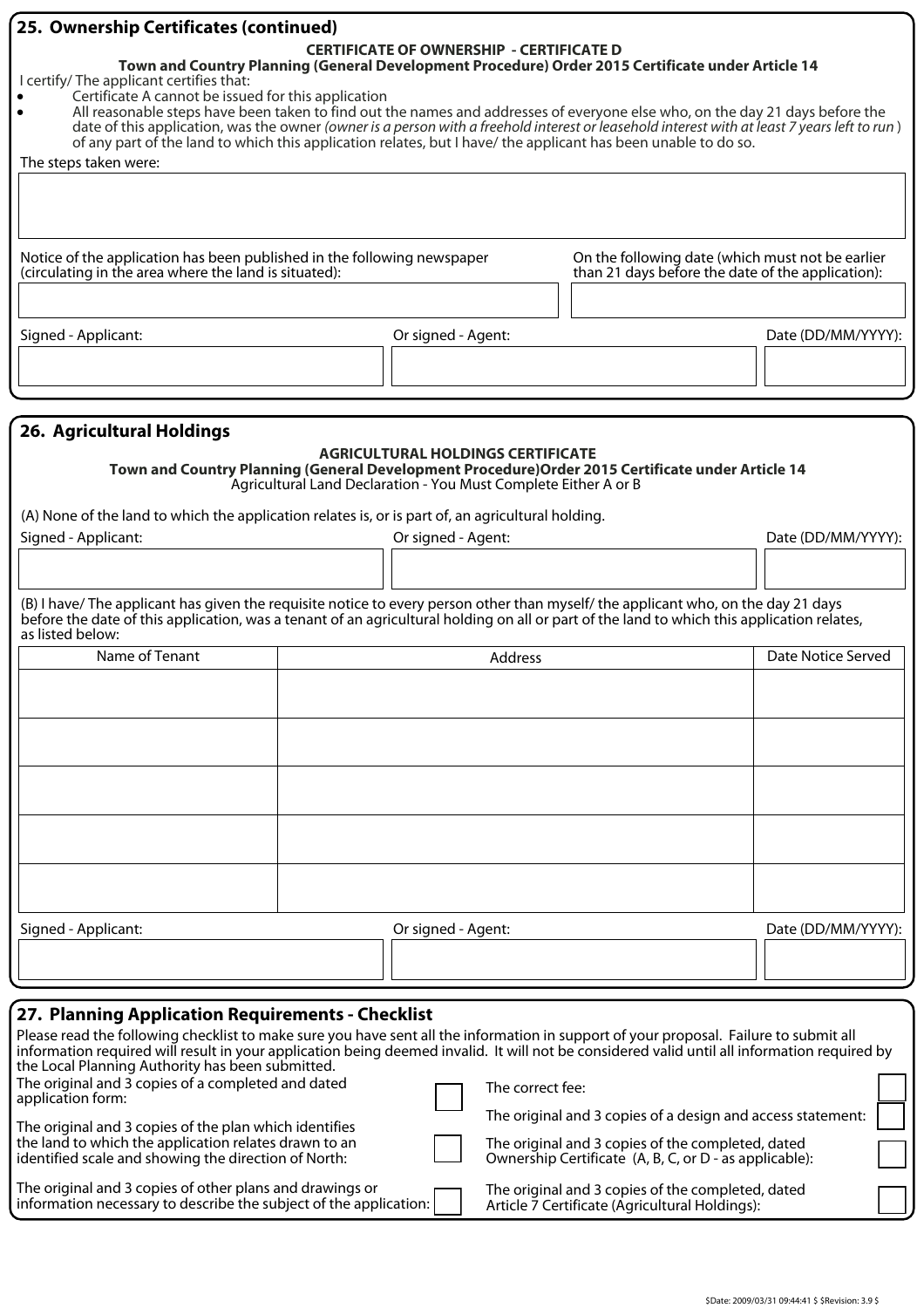| 25. Ownership Certificates (continued)                                                                                                                                              |                                                                                                   |                                                                                                                                                                                                                                |                    |  |  |  |  |  |
|-------------------------------------------------------------------------------------------------------------------------------------------------------------------------------------|---------------------------------------------------------------------------------------------------|--------------------------------------------------------------------------------------------------------------------------------------------------------------------------------------------------------------------------------|--------------------|--|--|--|--|--|
| <b>CERTIFICATE OF OWNERSHIP - CERTIFICATE D</b>                                                                                                                                     |                                                                                                   |                                                                                                                                                                                                                                |                    |  |  |  |  |  |
|                                                                                                                                                                                     | Town and Country Planning (General Development Procedure) Order 2015 Certificate under Article 14 |                                                                                                                                                                                                                                |                    |  |  |  |  |  |
| I certify/ The applicant certifies that:                                                                                                                                            |                                                                                                   |                                                                                                                                                                                                                                |                    |  |  |  |  |  |
| Certificate A cannot be issued for this application<br>All reasonable steps have been taken to find out the names and addresses of everyone else who, on the day 21 days before the |                                                                                                   |                                                                                                                                                                                                                                |                    |  |  |  |  |  |
| date of this application, was the owner (owner is a person with a freehold interest or leasehold interest with at least 7 years left to run)                                        |                                                                                                   |                                                                                                                                                                                                                                |                    |  |  |  |  |  |
| of any part of the land to which this application relates, but I have/ the applicant has been unable to do so.                                                                      |                                                                                                   |                                                                                                                                                                                                                                |                    |  |  |  |  |  |
| The steps taken were:                                                                                                                                                               |                                                                                                   |                                                                                                                                                                                                                                |                    |  |  |  |  |  |
|                                                                                                                                                                                     |                                                                                                   |                                                                                                                                                                                                                                |                    |  |  |  |  |  |
|                                                                                                                                                                                     |                                                                                                   |                                                                                                                                                                                                                                |                    |  |  |  |  |  |
|                                                                                                                                                                                     |                                                                                                   |                                                                                                                                                                                                                                |                    |  |  |  |  |  |
|                                                                                                                                                                                     |                                                                                                   |                                                                                                                                                                                                                                |                    |  |  |  |  |  |
| Notice of the application has been published in the following newspaper                                                                                                             |                                                                                                   | On the following date (which must not be earlier                                                                                                                                                                               |                    |  |  |  |  |  |
| (circulating in the area where the land is situated):                                                                                                                               |                                                                                                   | than 21 days before the date of the application):                                                                                                                                                                              |                    |  |  |  |  |  |
|                                                                                                                                                                                     |                                                                                                   |                                                                                                                                                                                                                                |                    |  |  |  |  |  |
|                                                                                                                                                                                     |                                                                                                   |                                                                                                                                                                                                                                |                    |  |  |  |  |  |
| Signed - Applicant:                                                                                                                                                                 | Or signed - Agent:                                                                                |                                                                                                                                                                                                                                | Date (DD/MM/YYYY): |  |  |  |  |  |
|                                                                                                                                                                                     |                                                                                                   |                                                                                                                                                                                                                                |                    |  |  |  |  |  |
|                                                                                                                                                                                     |                                                                                                   |                                                                                                                                                                                                                                |                    |  |  |  |  |  |
|                                                                                                                                                                                     |                                                                                                   |                                                                                                                                                                                                                                |                    |  |  |  |  |  |
|                                                                                                                                                                                     |                                                                                                   |                                                                                                                                                                                                                                |                    |  |  |  |  |  |
| <b>26. Agricultural Holdings</b>                                                                                                                                                    |                                                                                                   |                                                                                                                                                                                                                                |                    |  |  |  |  |  |
|                                                                                                                                                                                     | <b>AGRICULTURAL HOLDINGS CERTIFICATE</b>                                                          |                                                                                                                                                                                                                                |                    |  |  |  |  |  |
| Town and Country Planning (General Development Procedure) Order 2015 Certificate under Article 14                                                                                   | Agricultural Land Declaration - You Must Complete Either A or B                                   |                                                                                                                                                                                                                                |                    |  |  |  |  |  |
|                                                                                                                                                                                     |                                                                                                   |                                                                                                                                                                                                                                |                    |  |  |  |  |  |
| (A) None of the land to which the application relates is, or is part of, an agricultural holding.                                                                                   |                                                                                                   |                                                                                                                                                                                                                                |                    |  |  |  |  |  |
| Signed - Applicant:                                                                                                                                                                 | Or signed - Agent:                                                                                |                                                                                                                                                                                                                                | Date (DD/MM/YYYY): |  |  |  |  |  |
|                                                                                                                                                                                     |                                                                                                   |                                                                                                                                                                                                                                |                    |  |  |  |  |  |
|                                                                                                                                                                                     |                                                                                                   |                                                                                                                                                                                                                                |                    |  |  |  |  |  |
| $\sim$ 1.1. $\sim$ 1.1. $\sim$ 1.1. $\sim$ 1.1. $\sim$ 1.1. $\sim$ 1.1. $\sim$ 1.1. $\sim$ 1.1. $\sim$ 1.1. $\sim$ 1.1.                                                             |                                                                                                   | $\sim$ 1.0 and 1.0 and 1.0 and 1.0 and 1.0 and 1.0 and 1.0 and 1.0 and 1.0 and 1.0 and 1.0 and 1.0 and 1.0 and 1.0 and 1.0 and 1.0 and 1.0 and 1.0 and 1.0 and 1.0 and 1.0 and 1.0 and 1.0 and 1.0 and 1.0 and 1.0 and 1.0 and |                    |  |  |  |  |  |

(B) I have/ The applicant has given the requisite notice to every person other than myself/ the applicant who, on the day 21 days before the date of this application, was a tenant of an agricultural holding on all or part of the land to which this application relates, as listed below:

| Name of Tenant      | Address            | Date Notice Served |
|---------------------|--------------------|--------------------|
|                     |                    |                    |
|                     |                    |                    |
|                     |                    |                    |
|                     |                    |                    |
|                     |                    |                    |
|                     |                    |                    |
|                     |                    |                    |
|                     |                    |                    |
|                     |                    |                    |
|                     |                    |                    |
| Signed - Applicant: | Or signed - Agent: | Date (DD/MM/YYYY): |
|                     |                    |                    |
|                     |                    |                    |

# **27. Planning Application Requirements - Checklist**

| Please read the following checklist to make sure you have sent all the information in support of your proposal. Failure to submit all<br>information required will result in your application being deemed invalid. It will not be considered valid until all information required by<br>the Local Planning Authority has been submitted. |  |                                                                                                             |  |  |  |
|-------------------------------------------------------------------------------------------------------------------------------------------------------------------------------------------------------------------------------------------------------------------------------------------------------------------------------------------|--|-------------------------------------------------------------------------------------------------------------|--|--|--|
| The original and 3 copies of a completed and dated<br>application form:                                                                                                                                                                                                                                                                   |  | The correct fee:                                                                                            |  |  |  |
| The original and 3 copies of the plan which identifies<br>the land to which the application relates drawn to an<br>identified scale and showing the direction of North:                                                                                                                                                                   |  | The original and 3 copies of a design and access statement:                                                 |  |  |  |
|                                                                                                                                                                                                                                                                                                                                           |  | The original and 3 copies of the completed, dated<br>Ownership Certificate (A, B, C, or D - as applicable): |  |  |  |
| The original and 3 copies of other plans and drawings or<br>information necessary to describe the subject of the application:                                                                                                                                                                                                             |  | The original and 3 copies of the completed, dated<br>Article 7 Certificate (Agricultural Holdings):         |  |  |  |